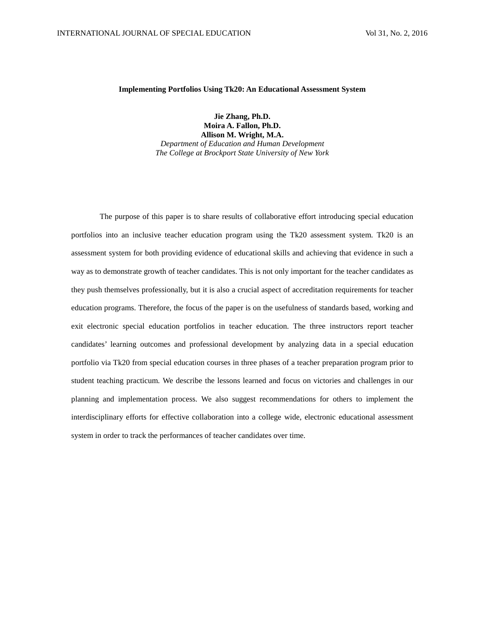#### **Implementing Portfolios Using Tk20: An Educational Assessment System**

**Jie Zhang, Ph.D. Moira A. Fallon, Ph.D. Allison M. Wright, M.A.** *Department of Education and Human Development The College at Brockport State University of New York*

The purpose of this paper is to share results of collaborative effort introducing special education portfolios into an inclusive teacher education program using the Tk20 assessment system. Tk20 is an assessment system for both providing evidence of educational skills and achieving that evidence in such a way as to demonstrate growth of teacher candidates. This is not only important for the teacher candidates as they push themselves professionally, but it is also a crucial aspect of accreditation requirements for teacher education programs. Therefore, the focus of the paper is on the usefulness of standards based, working and exit electronic special education portfolios in teacher education. The three instructors report teacher candidates' learning outcomes and professional development by analyzing data in a special education portfolio via Tk20 from special education courses in three phases of a teacher preparation program prior to student teaching practicum. We describe the lessons learned and focus on victories and challenges in our planning and implementation process. We also suggest recommendations for others to implement the interdisciplinary efforts for effective collaboration into a college wide, electronic educational assessment system in order to track the performances of teacher candidates over time.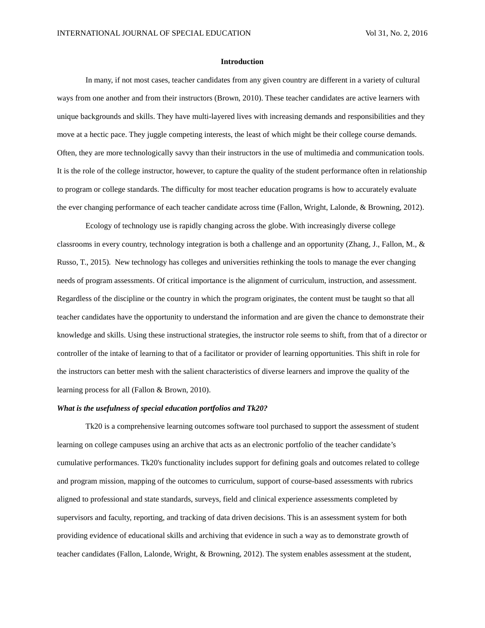#### **Introduction**

In many, if not most cases, teacher candidates from any given country are different in a variety of cultural ways from one another and from their instructors (Brown, 2010). These teacher candidates are active learners with unique backgrounds and skills. They have multi-layered lives with increasing demands and responsibilities and they move at a hectic pace. They juggle competing interests, the least of which might be their college course demands. Often, they are more technologically savvy than their instructors in the use of multimedia and communication tools. It is the role of the college instructor, however, to capture the quality of the student performance often in relationship to program or college standards. The difficulty for most teacher education programs is how to accurately evaluate the ever changing performance of each teacher candidate across time (Fallon, Wright, Lalonde, & Browning, 2012).

Ecology of technology use is rapidly changing across the globe. With increasingly diverse college classrooms in every country, technology integration is both a challenge and an opportunity (Zhang, J., Fallon, M., & Russo, T., 2015). New technology has colleges and universities rethinking the tools to manage the ever changing needs of program assessments. Of critical importance is the alignment of curriculum, instruction, and assessment. Regardless of the discipline or the country in which the program originates, the content must be taught so that all teacher candidates have the opportunity to understand the information and are given the chance to demonstrate their knowledge and skills. Using these instructional strategies, the instructor role seems to shift, from that of a director or controller of the intake of learning to that of a facilitator or provider of learning opportunities. This shift in role for the instructors can better mesh with the salient characteristics of diverse learners and improve the quality of the learning process for all (Fallon & Brown, 2010).

#### *What is the usefulness of special education portfolios and Tk20?*

Tk20 is a comprehensive learning outcomes software tool purchased to support the assessment of student learning on college campuses using an archive that acts as an electronic portfolio of the teacher candidate's cumulative performances. Tk20's functionality includes support for defining goals and outcomes related to college and program mission, mapping of the outcomes to curriculum, support of course-based assessments with rubrics aligned to professional and state standards, surveys, field and clinical experience assessments completed by supervisors and faculty, reporting, and tracking of data driven decisions. This is an assessment system for both providing evidence of educational skills and archiving that evidence in such a way as to demonstrate growth of teacher candidates (Fallon, Lalonde, Wright, & Browning, 2012). The system enables assessment at the student,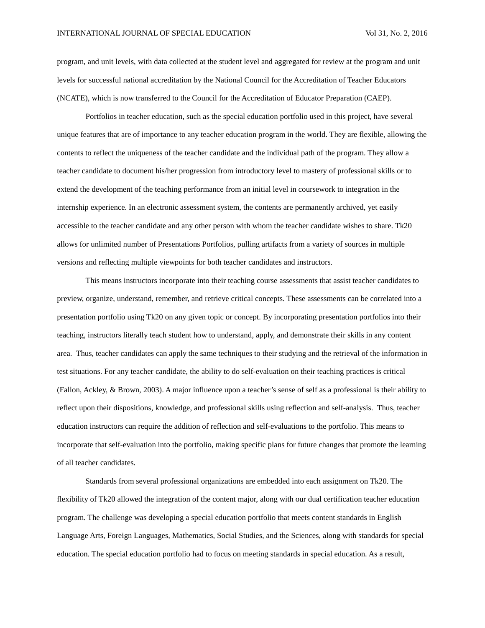program, and unit levels, with data collected at the student level and aggregated for review at the program and unit levels for successful national accreditation by the National Council for the Accreditation of Teacher Educators (NCATE), which is now transferred to the Council for the Accreditation of Educator Preparation (CAEP).

Portfolios in teacher education, such as the special education portfolio used in this project, have several unique features that are of importance to any teacher education program in the world. They are flexible, allowing the contents to reflect the uniqueness of the teacher candidate and the individual path of the program. They allow a teacher candidate to document his/her progression from introductory level to mastery of professional skills or to extend the development of the teaching performance from an initial level in coursework to integration in the internship experience. In an electronic assessment system, the contents are permanently archived, yet easily accessible to the teacher candidate and any other person with whom the teacher candidate wishes to share. Tk20 allows for unlimited number of Presentations Portfolios, pulling artifacts from a variety of sources in multiple versions and reflecting multiple viewpoints for both teacher candidates and instructors.

This means instructors incorporate into their teaching course assessments that assist teacher candidates to preview, organize, understand, remember, and retrieve critical concepts. These assessments can be correlated into a presentation portfolio using Tk20 on any given topic or concept. By incorporating presentation portfolios into their teaching, instructors literally teach student how to understand, apply, and demonstrate their skills in any content area. Thus, teacher candidates can apply the same techniques to their studying and the retrieval of the information in test situations. For any teacher candidate, the ability to do self-evaluation on their teaching practices is critical (Fallon, Ackley, & Brown, 2003). A major influence upon a teacher's sense of self as a professional is their ability to reflect upon their dispositions, knowledge, and professional skills using reflection and self-analysis. Thus, teacher education instructors can require the addition of reflection and self-evaluations to the portfolio. This means to incorporate that self-evaluation into the portfolio, making specific plans for future changes that promote the learning of all teacher candidates.

Standards from several professional organizations are embedded into each assignment on Tk20. The flexibility of Tk20 allowed the integration of the content major, along with our dual certification teacher education program. The challenge was developing a special education portfolio that meets content standards in English Language Arts, Foreign Languages, Mathematics, Social Studies, and the Sciences, along with standards for special education. The special education portfolio had to focus on meeting standards in special education. As a result,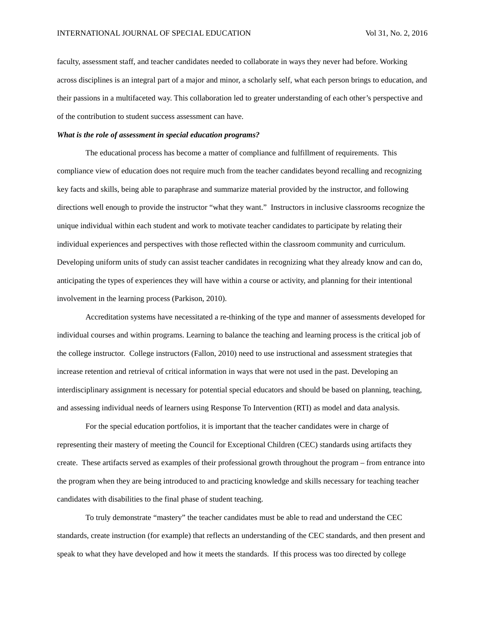faculty, assessment staff, and teacher candidates needed to collaborate in ways they never had before. Working across disciplines is an integral part of a major and minor, a scholarly self, what each person brings to education, and their passions in a multifaceted way. This collaboration led to greater understanding of each other's perspective and of the contribution to student success assessment can have.

# *What is the role of assessment in special education programs?*

The educational process has become a matter of compliance and fulfillment of requirements. This compliance view of education does not require much from the teacher candidates beyond recalling and recognizing key facts and skills, being able to paraphrase and summarize material provided by the instructor, and following directions well enough to provide the instructor "what they want." Instructors in inclusive classrooms recognize the unique individual within each student and work to motivate teacher candidates to participate by relating their individual experiences and perspectives with those reflected within the classroom community and curriculum. Developing uniform units of study can assist teacher candidates in recognizing what they already know and can do, anticipating the types of experiences they will have within a course or activity, and planning for their intentional involvement in the learning process (Parkison, 2010).

Accreditation systems have necessitated a re-thinking of the type and manner of assessments developed for individual courses and within programs. Learning to balance the teaching and learning process is the critical job of the college instructor. College instructors (Fallon, 2010) need to use instructional and assessment strategies that increase retention and retrieval of critical information in ways that were not used in the past. Developing an interdisciplinary assignment is necessary for potential special educators and should be based on planning, teaching, and assessing individual needs of learners using Response To Intervention (RTI) as model and data analysis.

For the special education portfolios, it is important that the teacher candidates were in charge of representing their mastery of meeting the Council for Exceptional Children (CEC) standards using artifacts they create. These artifacts served as examples of their professional growth throughout the program – from entrance into the program when they are being introduced to and practicing knowledge and skills necessary for teaching teacher candidates with disabilities to the final phase of student teaching.

To truly demonstrate "mastery" the teacher candidates must be able to read and understand the CEC standards, create instruction (for example) that reflects an understanding of the CEC standards, and then present and speak to what they have developed and how it meets the standards. If this process was too directed by college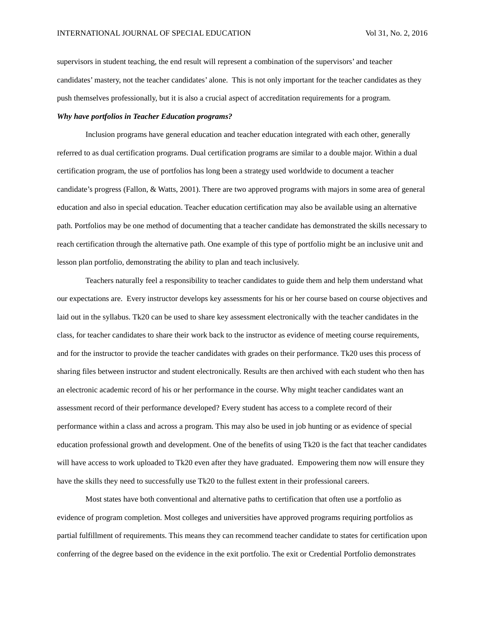supervisors in student teaching, the end result will represent a combination of the supervisors' and teacher candidates' mastery, not the teacher candidates' alone. This is not only important for the teacher candidates as they push themselves professionally, but it is also a crucial aspect of accreditation requirements for a program.

#### *Why have portfolios in Teacher Education programs?*

Inclusion programs have general education and teacher education integrated with each other, generally referred to as dual certification programs. Dual certification programs are similar to a double major. Within a dual certification program, the use of portfolios has long been a strategy used worldwide to document a teacher candidate's progress (Fallon, & Watts, 2001). There are two approved programs with majors in some area of general education and also in special education. Teacher education certification may also be available using an alternative path. Portfolios may be one method of documenting that a teacher candidate has demonstrated the skills necessary to reach certification through the alternative path. One example of this type of portfolio might be an inclusive unit and lesson plan portfolio, demonstrating the ability to plan and teach inclusively.

Teachers naturally feel a responsibility to teacher candidates to guide them and help them understand what our expectations are. Every instructor develops key assessments for his or her course based on course objectives and laid out in the syllabus. Tk20 can be used to share key assessment electronically with the teacher candidates in the class, for teacher candidates to share their work back to the instructor as evidence of meeting course requirements, and for the instructor to provide the teacher candidates with grades on their performance. Tk20 uses this process of sharing files between instructor and student electronically. Results are then archived with each student who then has an electronic academic record of his or her performance in the course. Why might teacher candidates want an assessment record of their performance developed? Every student has access to a complete record of their performance within a class and across a program. This may also be used in job hunting or as evidence of special education professional growth and development. One of the benefits of using Tk20 is the fact that teacher candidates will have access to work uploaded to Tk20 even after they have graduated. Empowering them now will ensure they have the skills they need to successfully use Tk20 to the fullest extent in their professional careers.

Most states have both conventional and alternative paths to certification that often use a portfolio as evidence of program completion. Most colleges and universities have approved programs requiring portfolios as partial fulfillment of requirements. This means they can recommend teacher candidate to states for certification upon conferring of the degree based on the evidence in the exit portfolio. The exit or Credential Portfolio demonstrates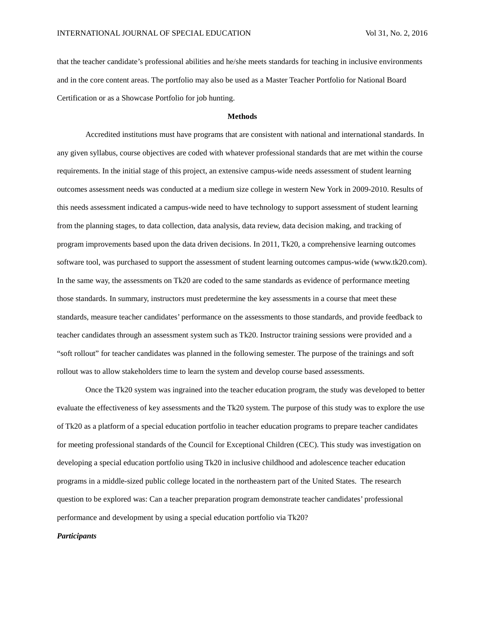that the teacher candidate's professional abilities and he/she meets standards for teaching in inclusive environments and in the core content areas. The portfolio may also be used as a Master Teacher Portfolio for National Board Certification or as a Showcase Portfolio for job hunting.

#### **Methods**

Accredited institutions must have programs that are consistent with national and international standards. In any given syllabus, course objectives are coded with whatever professional standards that are met within the course requirements. In the initial stage of this project, an extensive campus-wide needs assessment of student learning outcomes assessment needs was conducted at a medium size college in western New York in 2009-2010. Results of this needs assessment indicated a campus-wide need to have technology to support assessment of student learning from the planning stages, to data collection, data analysis, data review, data decision making, and tracking of program improvements based upon the data driven decisions. In 2011, Tk20, a comprehensive learning outcomes software tool, was purchased to support the assessment of student learning outcomes campus-wide (www.tk20.com). In the same way, the assessments on Tk20 are coded to the same standards as evidence of performance meeting those standards. In summary, instructors must predetermine the key assessments in a course that meet these standards, measure teacher candidates' performance on the assessments to those standards, and provide feedback to teacher candidates through an assessment system such as Tk20. Instructor training sessions were provided and a "soft rollout" for teacher candidates was planned in the following semester. The purpose of the trainings and soft rollout was to allow stakeholders time to learn the system and develop course based assessments.

Once the Tk20 system was ingrained into the teacher education program, the study was developed to better evaluate the effectiveness of key assessments and the Tk20 system. The purpose of this study was to explore the use of Tk20 as a platform of a special education portfolio in teacher education programs to prepare teacher candidates for meeting professional standards of the Council for Exceptional Children (CEC). This study was investigation on developing a special education portfolio using Tk20 in inclusive childhood and adolescence teacher education programs in a middle-sized public college located in the northeastern part of the United States. The research question to be explored was: Can a teacher preparation program demonstrate teacher candidates' professional performance and development by using a special education portfolio via Tk20?

# *Participants*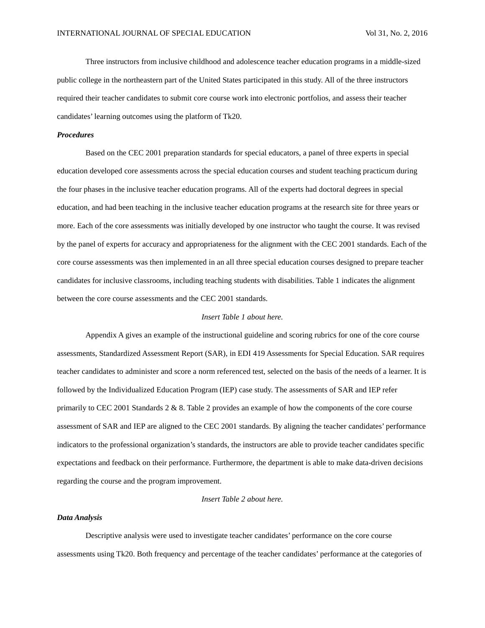Three instructors from inclusive childhood and adolescence teacher education programs in a middle-sized public college in the northeastern part of the United States participated in this study. All of the three instructors required their teacher candidates to submit core course work into electronic portfolios, and assess their teacher candidates' learning outcomes using the platform of Tk20.

#### *Procedures*

Based on the CEC 2001 preparation standards for special educators, a panel of three experts in special education developed core assessments across the special education courses and student teaching practicum during the four phases in the inclusive teacher education programs. All of the experts had doctoral degrees in special education, and had been teaching in the inclusive teacher education programs at the research site for three years or more. Each of the core assessments was initially developed by one instructor who taught the course. It was revised by the panel of experts for accuracy and appropriateness for the alignment with the CEC 2001 standards. Each of the core course assessments was then implemented in an all three special education courses designed to prepare teacher candidates for inclusive classrooms, including teaching students with disabilities. Table 1 indicates the alignment between the core course assessments and the CEC 2001 standards.

### *Insert Table 1 about here.*

Appendix A gives an example of the instructional guideline and scoring rubrics for one of the core course assessments, Standardized Assessment Report (SAR), in EDI 419 Assessments for Special Education. SAR requires teacher candidates to administer and score a norm referenced test, selected on the basis of the needs of a learner. It is followed by the Individualized Education Program (IEP) case study. The assessments of SAR and IEP refer primarily to CEC 2001 Standards 2 & 8. Table 2 provides an example of how the components of the core course assessment of SAR and IEP are aligned to the CEC 2001 standards. By aligning the teacher candidates' performance indicators to the professional organization's standards, the instructors are able to provide teacher candidates specific expectations and feedback on their performance. Furthermore, the department is able to make data-driven decisions regarding the course and the program improvement.

### *Insert Table 2 about here.*

#### *Data Analysis*

Descriptive analysis were used to investigate teacher candidates' performance on the core course assessments using Tk20. Both frequency and percentage of the teacher candidates' performance at the categories of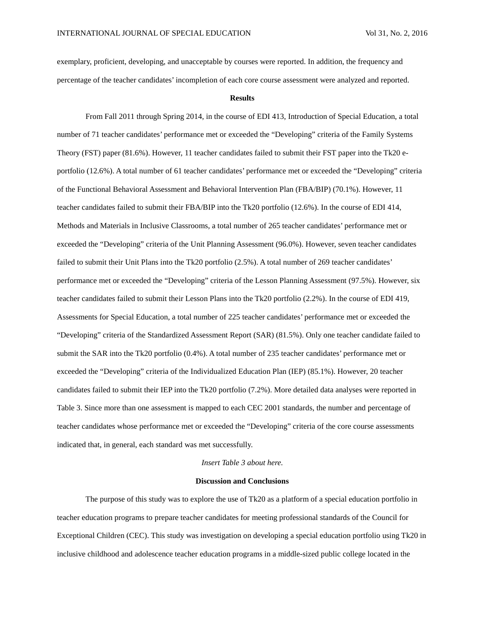exemplary, proficient, developing, and unacceptable by courses were reported. In addition, the frequency and percentage of the teacher candidates' incompletion of each core course assessment were analyzed and reported.

#### **Results**

From Fall 2011 through Spring 2014, in the course of EDI 413, Introduction of Special Education, a total number of 71 teacher candidates' performance met or exceeded the "Developing" criteria of the Family Systems Theory (FST) paper (81.6%). However, 11 teacher candidates failed to submit their FST paper into the Tk20 eportfolio (12.6%). A total number of 61 teacher candidates' performance met or exceeded the "Developing" criteria of the Functional Behavioral Assessment and Behavioral Intervention Plan (FBA/BIP) (70.1%). However, 11 teacher candidates failed to submit their FBA/BIP into the Tk20 portfolio (12.6%). In the course of EDI 414, Methods and Materials in Inclusive Classrooms, a total number of 265 teacher candidates' performance met or exceeded the "Developing" criteria of the Unit Planning Assessment (96.0%). However, seven teacher candidates failed to submit their Unit Plans into the Tk20 portfolio (2.5%). A total number of 269 teacher candidates' performance met or exceeded the "Developing" criteria of the Lesson Planning Assessment (97.5%). However, six teacher candidates failed to submit their Lesson Plans into the Tk20 portfolio (2.2%). In the course of EDI 419, Assessments for Special Education, a total number of 225 teacher candidates' performance met or exceeded the "Developing" criteria of the Standardized Assessment Report (SAR) (81.5%). Only one teacher candidate failed to submit the SAR into the Tk20 portfolio (0.4%). A total number of 235 teacher candidates' performance met or exceeded the "Developing" criteria of the Individualized Education Plan (IEP) (85.1%). However, 20 teacher candidates failed to submit their IEP into the Tk20 portfolio (7.2%). More detailed data analyses were reported in Table 3. Since more than one assessment is mapped to each CEC 2001 standards, the number and percentage of teacher candidates whose performance met or exceeded the "Developing" criteria of the core course assessments indicated that, in general, each standard was met successfully.

#### *Insert Table 3 about here.*

#### **Discussion and Conclusions**

The purpose of this study was to explore the use of Tk20 as a platform of a special education portfolio in teacher education programs to prepare teacher candidates for meeting professional standards of the Council for Exceptional Children (CEC). This study was investigation on developing a special education portfolio using Tk20 in inclusive childhood and adolescence teacher education programs in a middle-sized public college located in the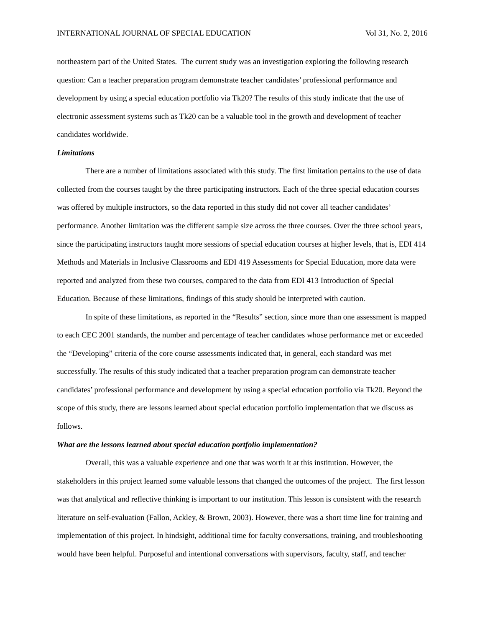northeastern part of the United States. The current study was an investigation exploring the following research question: Can a teacher preparation program demonstrate teacher candidates' professional performance and development by using a special education portfolio via Tk20? The results of this study indicate that the use of electronic assessment systems such as Tk20 can be a valuable tool in the growth and development of teacher candidates worldwide.

## *Limitations*

There are a number of limitations associated with this study. The first limitation pertains to the use of data collected from the courses taught by the three participating instructors. Each of the three special education courses was offered by multiple instructors, so the data reported in this study did not cover all teacher candidates' performance. Another limitation was the different sample size across the three courses. Over the three school years, since the participating instructors taught more sessions of special education courses at higher levels, that is, EDI 414 Methods and Materials in Inclusive Classrooms and EDI 419 Assessments for Special Education, more data were reported and analyzed from these two courses, compared to the data from EDI 413 Introduction of Special Education. Because of these limitations, findings of this study should be interpreted with caution.

In spite of these limitations, as reported in the "Results" section, since more than one assessment is mapped to each CEC 2001 standards, the number and percentage of teacher candidates whose performance met or exceeded the "Developing" criteria of the core course assessments indicated that, in general, each standard was met successfully. The results of this study indicated that a teacher preparation program can demonstrate teacher candidates' professional performance and development by using a special education portfolio via Tk20. Beyond the scope of this study, there are lessons learned about special education portfolio implementation that we discuss as follows.

#### *What are the lessons learned about special education portfolio implementation?*

Overall, this was a valuable experience and one that was worth it at this institution. However, the stakeholders in this project learned some valuable lessons that changed the outcomes of the project. The first lesson was that analytical and reflective thinking is important to our institution. This lesson is consistent with the research literature on self-evaluation (Fallon, Ackley, & Brown, 2003). However, there was a short time line for training and implementation of this project. In hindsight, additional time for faculty conversations, training, and troubleshooting would have been helpful. Purposeful and intentional conversations with supervisors, faculty, staff, and teacher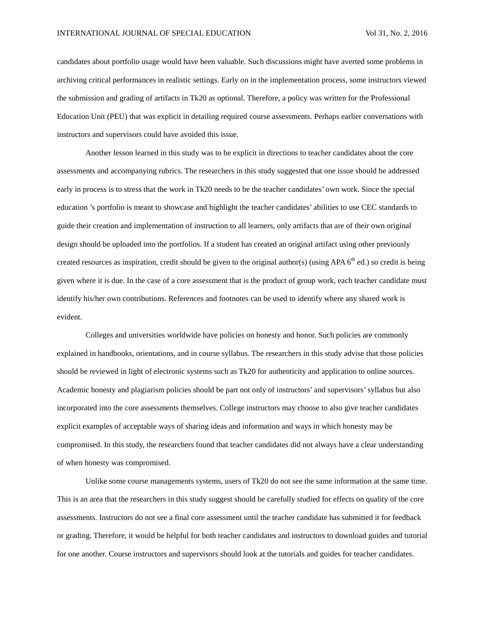candidates about portfolio usage would have been valuable. Such discussions might have averted some problems in archiving critical performances in realistic settings. Early on in the implementation process, some instructors viewed the submission and grading of artifacts in Tk20 as optional. Therefore, a policy was written for the Professional Education Unit (PEU) that was explicit in detailing required course assessments. Perhaps earlier conversations with instructors and supervisors could have avoided this issue.

Another lesson learned in this study was to be explicit in directions to teacher candidates about the core assessments and accompanying rubrics. The researchers in this study suggested that one issue should be addressed early in process is to stress that the work in Tk20 needs to be the teacher candidates' own work. Since the special education 's portfolio is meant to showcase and highlight the teacher candidates' abilities to use CEC standards to guide their creation and implementation of instruction to all learners, only artifacts that are of their own original design should be uploaded into the portfolios. If a student has created an original artifact using other previously created resources as inspiration, credit should be given to the original author(s) (using APA  $6<sup>th</sup>$  ed.) so credit is being given where it is due. In the case of a core assessment that is the product of group work, each teacher candidate must identify his/her own contributions. References and footnotes can be used to identify where any shared work is evident.

Colleges and universities worldwide have policies on honesty and honor. Such policies are commonly explained in handbooks, orientations, and in course syllabus. The researchers in this study advise that those policies should be reviewed in light of electronic systems such as Tk20 for authenticity and application to online sources. Academic honesty and plagiarism policies should be part not only of instructors' and supervisors' syllabus but also incorporated into the core assessments themselves. College instructors may choose to also give teacher candidates explicit examples of acceptable ways of sharing ideas and information and ways in which honesty may be compromised. In this study, the researchers found that teacher candidates did not always have a clear understanding of when honesty was compromised.

Unlike some course managements systems, users of Tk20 do not see the same information at the same time. This is an area that the researchers in this study suggest should be carefully studied for effects on quality of the core assessments. Instructors do not see a final core assessment until the teacher candidate has submitted it for feedback or grading. Therefore, it would be helpful for both teacher candidates and instructors to download guides and tutorial for one another. Course instructors and supervisors should look at the tutorials and guides for teacher candidates.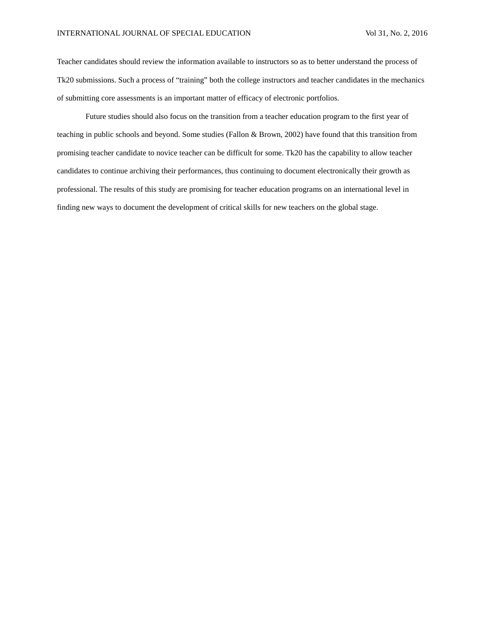Teacher candidates should review the information available to instructors so as to better understand the process of Tk20 submissions. Such a process of "training" both the college instructors and teacher candidates in the mechanics of submitting core assessments is an important matter of efficacy of electronic portfolios.

Future studies should also focus on the transition from a teacher education program to the first year of teaching in public schools and beyond. Some studies (Fallon & Brown, 2002) have found that this transition from promising teacher candidate to novice teacher can be difficult for some. Tk20 has the capability to allow teacher candidates to continue archiving their performances, thus continuing to document electronically their growth as professional. The results of this study are promising for teacher education programs on an international level in finding new ways to document the development of critical skills for new teachers on the global stage.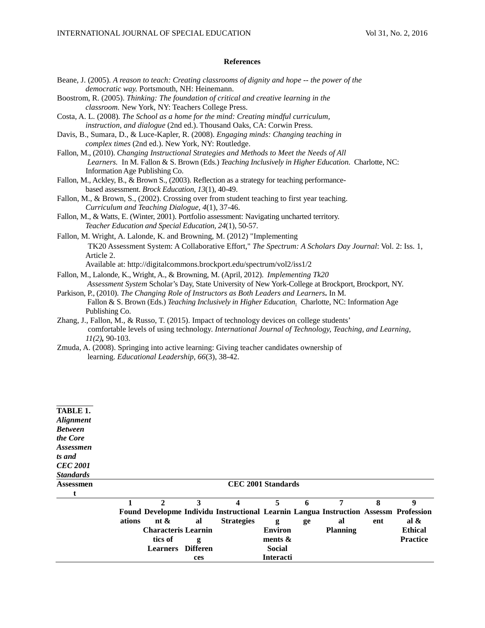# **References**

| Beane, J. (2005). A reason to teach: Creating classrooms of dignity and hope -- the power of the       |
|--------------------------------------------------------------------------------------------------------|
| democratic way. Portsmouth, NH: Heinemann.                                                             |
| Boostrom, R. (2005). Thinking: The foundation of critical and creative learning in the                 |
| classroom. New York, NY: Teachers College Press.                                                       |
| Costa, A. L. (2008). The School as a home for the mind: Creating mindful curriculum,                   |
| instruction, and dialogue (2nd ed.). Thousand Oaks, CA: Corwin Press.                                  |
| Davis, B., Sumara, D., & Luce-Kapler, R. (2008). <i>Engaging minds: Changing teaching in</i>           |
| complex times (2nd ed.). New York, NY: Routledge.                                                      |
| Fallon, M., (2010). Changing Instructional Strategies and Methods to Meet the Needs of All             |
| Learners. In M. Fallon & S. Brown (Eds.) Teaching Inclusively in Higher Education. Charlotte, NC:      |
| Information Age Publishing Co.                                                                         |
| Fallon, M., Ackley, B., & Brown S., (2003). Reflection as a strategy for teaching performance-         |
| based assessment. Brock Education, 13(1), 40-49.                                                       |
| Fallon, M., & Brown, S., (2002). Crossing over from student teaching to first year teaching.           |
| Curriculum and Teaching Dialogue, 4(1), 37-46.                                                         |
| Fallon, M., & Watts, E. (Winter, 2001). Portfolio assessment: Navigating uncharted territory.          |
| Teacher Education and Special Education, 24(1), 50-57.                                                 |
| Fallon, M. Wright, A. Lalonde, K. and Browning, M. (2012) "Implementing                                |
| TK20 Assessment System: A Collaborative Effort," The Spectrum: A Scholars Day Journal: Vol. 2: Iss. 1, |
| Article 2.                                                                                             |
| Available at: http://digitalcommons.brockport.edu/spectrum/vol2/iss1/2                                 |
| Fallon, M., Lalonde, K., Wright, A., & Browning, M. (April, 2012). Implementing Tk20                   |
| Assessment System Scholar's Day, State University of New York-College at Brockport, Brockport, NY.     |
| Parkison, P., (2010). The Changing Role of Instructors as Both Leaders and Learners. In M.             |
| Fallon & S. Brown (Eds.) Teaching Inclusively in Higher Education. Charlotte, NC: Information Age      |
| Publishing Co.                                                                                         |
| Zhang, J., Fallon, M., & Russo, T. (2015). Impact of technology devices on college students'           |
| comfortable levels of using technology. International Journal of Technology, Teaching, and Learning,   |
| $11(2)$ , 90-103.                                                                                      |
| Zmuda, A. (2008). Springing into active learning: Giving teacher candidates ownership of               |
| learning. Educational Leadership, 66(3), 38-42.                                                        |
|                                                                                                        |
|                                                                                                        |

| TABLE 1.         |        |                            |          |                                                                                      |                  |    |                 |     |                  |
|------------------|--------|----------------------------|----------|--------------------------------------------------------------------------------------|------------------|----|-----------------|-----|------------------|
| <b>Alignment</b> |        |                            |          |                                                                                      |                  |    |                 |     |                  |
| <b>Between</b>   |        |                            |          |                                                                                      |                  |    |                 |     |                  |
| the Core         |        |                            |          |                                                                                      |                  |    |                 |     |                  |
| Assessmen        |        |                            |          |                                                                                      |                  |    |                 |     |                  |
| ts and           |        |                            |          |                                                                                      |                  |    |                 |     |                  |
| <b>CEC 2001</b>  |        |                            |          |                                                                                      |                  |    |                 |     |                  |
| <b>Standards</b> |        |                            |          |                                                                                      |                  |    |                 |     |                  |
| Assessmen        |        |                            |          | <b>CEC 2001 Standards</b>                                                            |                  |    |                 |     |                  |
|                  |        |                            |          |                                                                                      |                  |    |                 |     |                  |
|                  |        | $\mathbf{2}$               | 3        | 4                                                                                    | 5                | 6  | 7               | 8   | $\boldsymbol{Q}$ |
|                  |        |                            |          | Found Developme Individu Instructional Learnin Langua Instruction Assessm Profession |                  |    |                 |     |                  |
|                  | ations | nt $\&$                    | al       | <b>Strategies</b>                                                                    | g                | ge | al              | ent | al $\&$          |
|                  |        | <b>Characteris Learnin</b> |          |                                                                                      | <b>Environ</b>   |    | <b>Planning</b> |     | <b>Ethical</b>   |
|                  |        | tics of                    | g        |                                                                                      | ments $\&$       |    |                 |     | <b>Practice</b>  |
|                  |        | <b>Learners</b>            | Differen |                                                                                      | <b>Social</b>    |    |                 |     |                  |
|                  |        |                            | ces      |                                                                                      | <b>Interacti</b> |    |                 |     |                  |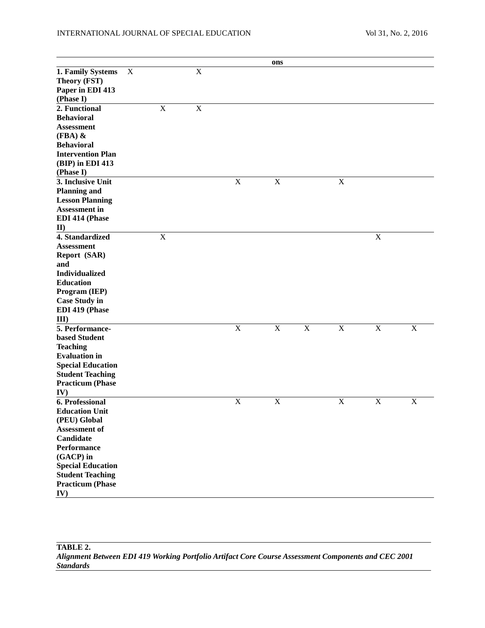|  |  | Vol 31, No. 2, 2016 |
|--|--|---------------------|
|--|--|---------------------|

|                                       |             |             |             |                         | ons                       |                |             |             |             |
|---------------------------------------|-------------|-------------|-------------|-------------------------|---------------------------|----------------|-------------|-------------|-------------|
| 1. Family Systems                     | $\mathbf X$ |             | $\mathbf X$ |                         |                           |                |             |             |             |
| Theory (FST)                          |             |             |             |                         |                           |                |             |             |             |
| Paper in EDI 413                      |             |             |             |                         |                           |                |             |             |             |
| (Phase I)                             |             |             |             |                         |                           |                |             |             |             |
| 2. Functional                         |             | $\mathbf X$ | $\mathbf X$ |                         |                           |                |             |             |             |
| <b>Behavioral</b>                     |             |             |             |                         |                           |                |             |             |             |
| <b>Assessment</b>                     |             |             |             |                         |                           |                |             |             |             |
| $(FBA)$ &                             |             |             |             |                         |                           |                |             |             |             |
| <b>Behavioral</b>                     |             |             |             |                         |                           |                |             |             |             |
| <b>Intervention Plan</b>              |             |             |             |                         |                           |                |             |             |             |
| (BIP) in EDI 413                      |             |             |             |                         |                           |                |             |             |             |
| (Phase I)                             |             |             |             |                         |                           |                |             |             |             |
| 3. Inclusive Unit                     |             |             |             | $\mathbf X$             | $\mathbf X$               |                | $\mathbf X$ |             |             |
| <b>Planning and</b>                   |             |             |             |                         |                           |                |             |             |             |
| <b>Lesson Planning</b>                |             |             |             |                         |                           |                |             |             |             |
| Assessment in                         |             |             |             |                         |                           |                |             |             |             |
| EDI 414 (Phase                        |             |             |             |                         |                           |                |             |             |             |
| $\mathbf{I}$                          |             |             |             |                         |                           |                |             |             |             |
| 4. Standardized                       |             | $\mathbf X$ |             |                         |                           |                |             | $\mathbf X$ |             |
| <b>Assessment</b>                     |             |             |             |                         |                           |                |             |             |             |
| Report (SAR)                          |             |             |             |                         |                           |                |             |             |             |
| and                                   |             |             |             |                         |                           |                |             |             |             |
| <b>Individualized</b>                 |             |             |             |                         |                           |                |             |             |             |
| <b>Education</b>                      |             |             |             |                         |                           |                |             |             |             |
| Program (IEP)                         |             |             |             |                         |                           |                |             |             |             |
| <b>Case Study in</b>                  |             |             |             |                         |                           |                |             |             |             |
| EDI 419 (Phase                        |             |             |             |                         |                           |                |             |             |             |
| III                                   |             |             |             |                         |                           |                |             |             |             |
| 5. Performance-                       |             |             |             | $\overline{\mathbf{X}}$ | $\mathbf X$               | $\overline{X}$ | $\mathbf X$ | $\mathbf X$ | $\mathbf X$ |
| based Student                         |             |             |             |                         |                           |                |             |             |             |
| <b>Teaching</b>                       |             |             |             |                         |                           |                |             |             |             |
| <b>Evaluation</b> in                  |             |             |             |                         |                           |                |             |             |             |
| <b>Special Education</b>              |             |             |             |                         |                           |                |             |             |             |
| <b>Student Teaching</b>               |             |             |             |                         |                           |                |             |             |             |
| <b>Practicum (Phase</b>               |             |             |             |                         |                           |                |             |             |             |
|                                       |             |             |             |                         |                           |                |             |             |             |
| IV)<br>6. Professional                |             |             |             | X                       | $\boldsymbol{\mathrm{X}}$ |                | $\mathbf X$ | $\mathbf X$ | $\mathbf X$ |
|                                       |             |             |             |                         |                           |                |             |             |             |
| <b>Education Unit</b><br>(PEU) Global |             |             |             |                         |                           |                |             |             |             |
| <b>Assessment of</b>                  |             |             |             |                         |                           |                |             |             |             |
| Candidate                             |             |             |             |                         |                           |                |             |             |             |
| <b>Performance</b>                    |             |             |             |                         |                           |                |             |             |             |
| (GACP) in                             |             |             |             |                         |                           |                |             |             |             |
| <b>Special Education</b>              |             |             |             |                         |                           |                |             |             |             |
| <b>Student Teaching</b>               |             |             |             |                         |                           |                |             |             |             |
|                                       |             |             |             |                         |                           |                |             |             |             |
| <b>Practicum (Phase</b>               |             |             |             |                         |                           |                |             |             |             |
| IV)                                   |             |             |             |                         |                           |                |             |             |             |

**TABLE 2.** *Alignment Between EDI 419 Working Portfolio Artifact Core Course Assessment Components and CEC 2001 Standards*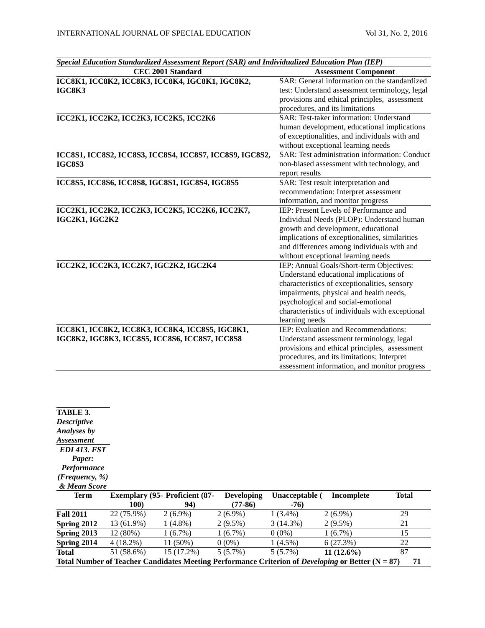| Special Education Standardized Assessment Report (SAR) and Individualized Education Plan (IEP) |                                                 |  |  |  |
|------------------------------------------------------------------------------------------------|-------------------------------------------------|--|--|--|
| <b>CEC 2001 Standard</b>                                                                       | <b>Assessment Component</b>                     |  |  |  |
| ICC8K1, ICC8K2, ICC8K3, ICC8K4, IGC8K1, IGC8K2,                                                | SAR: General information on the standardized    |  |  |  |
| IGC8K3                                                                                         | test: Understand assessment terminology, legal  |  |  |  |
|                                                                                                | provisions and ethical principles, assessment   |  |  |  |
|                                                                                                | procedures, and its limitations                 |  |  |  |
| ICC2K1, ICC2K2, ICC2K3, ICC2K5, ICC2K6                                                         | SAR: Test-taker information: Understand         |  |  |  |
|                                                                                                | human development, educational implications     |  |  |  |
|                                                                                                | of exceptionalities, and individuals with and   |  |  |  |
|                                                                                                | without exceptional learning needs              |  |  |  |
| ICC8S1, ICC8S2, ICC8S3, ICC8S4, ICC8S7, ICC8S9, IGC8S2,                                        | SAR: Test administration information: Conduct   |  |  |  |
| <b>IGC8S3</b>                                                                                  | non-biased assessment with technology, and      |  |  |  |
|                                                                                                | report results                                  |  |  |  |
| ICC8S5, ICC8S6, ICC8S8, IGC8S1, IGC8S4, IGC8S5                                                 | SAR: Test result interpretation and             |  |  |  |
|                                                                                                | recommendation: Interpret assessment            |  |  |  |
|                                                                                                | information, and monitor progress               |  |  |  |
| ICC2K1, ICC2K2, ICC2K3, ICC2K5, ICC2K6, ICC2K7,                                                | IEP: Present Levels of Performance and          |  |  |  |
| IGC2K1, IGC2K2                                                                                 | Individual Needs (PLOP): Understand human       |  |  |  |
|                                                                                                | growth and development, educational             |  |  |  |
|                                                                                                | implications of exceptionalities, similarities  |  |  |  |
|                                                                                                | and differences among individuals with and      |  |  |  |
|                                                                                                | without exceptional learning needs              |  |  |  |
| ICC2K2, ICC2K3, ICC2K7, IGC2K2, IGC2K4                                                         | IEP: Annual Goals/Short-term Objectives:        |  |  |  |
|                                                                                                | Understand educational implications of          |  |  |  |
|                                                                                                | characteristics of exceptionalities, sensory    |  |  |  |
|                                                                                                | impairments, physical and health needs,         |  |  |  |
|                                                                                                | psychological and social-emotional              |  |  |  |
|                                                                                                | characteristics of individuals with exceptional |  |  |  |
|                                                                                                | learning needs                                  |  |  |  |
| ICC8K1, ICC8K2, ICC8K3, ICC8K4, ICC8S5, IGC8K1,                                                | IEP: Evaluation and Recommendations:            |  |  |  |
| IGC8K2, IGC8K3, ICC8S5, ICC8S6, ICC8S7, ICC8S8                                                 | Understand assessment terminology, legal        |  |  |  |
|                                                                                                | provisions and ethical principles, assessment   |  |  |  |
|                                                                                                | procedures, and its limitations; Interpret      |  |  |  |
|                                                                                                | assessment information, and monitor progress    |  |  |  |

| TABLE 3.                    |                                       |            |                   |                |              |              |
|-----------------------------|---------------------------------------|------------|-------------------|----------------|--------------|--------------|
| <b>Descriptive</b>          |                                       |            |                   |                |              |              |
| <b>Analyses by</b>          |                                       |            |                   |                |              |              |
| <i><b>Assessment</b></i>    |                                       |            |                   |                |              |              |
| <b>EDI 413. FST</b>         |                                       |            |                   |                |              |              |
| Paper:                      |                                       |            |                   |                |              |              |
| <b>Performance</b>          |                                       |            |                   |                |              |              |
| ( <i>Frequency</i> , $\%$ ) |                                       |            |                   |                |              |              |
| & Mean Score                |                                       |            |                   |                |              |              |
|                             |                                       |            |                   |                |              |              |
| <b>Term</b>                 | <b>Exemplary (95- Proficient (87-</b> |            | <b>Developing</b> | Unacceptable ( | Incomplete   | <b>Total</b> |
|                             | <b>100</b> )                          | 94)        | $(77-86)$         | $-76)$         |              |              |
| <b>Fall 2011</b>            | 22 (75.9%)                            | $2(6.9\%)$ | $2(6.9\%)$        | $1(3.4\%)$     | $2(6.9\%)$   | 29           |
| Spring 2012                 | 13 (61.9%)                            | $1(4.8\%)$ | $2(9.5\%)$        | $3(14.3\%)$    | $2(9.5\%)$   | 21           |
| Spring 2013                 | $12(80\%)$                            | 1(6.7%)    | 1(6.7%)           | $0(0\%)$       | $1(6.7\%)$   | 15           |
| Spring 2014                 | $4(18.2\%)$                           | 11 (50%)   | $0(0\%)$          | $1(4.5\%)$     | 6(27.3%)     | 22           |
| <b>Total</b>                | 51 (58.6%)                            | 15 (17.2%) | $5(5.7\%)$        | 5(5.7%)        | $11(12.6\%)$ | 87           |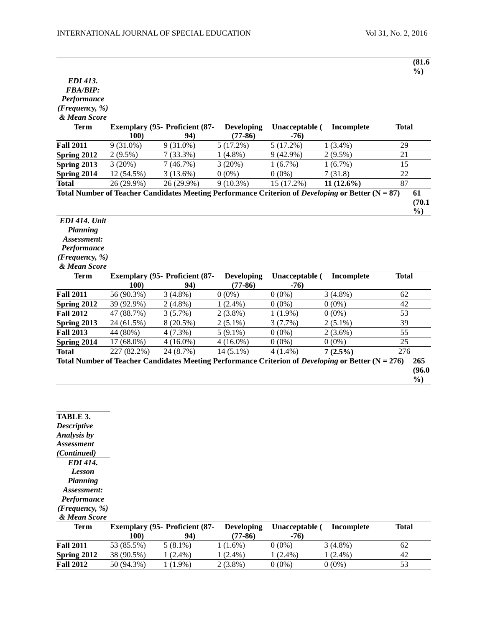| <b>EDI 413.</b>                                |                           |                                              |                                |                          |                                                                                                   | $\frac{6}{2}$   |
|------------------------------------------------|---------------------------|----------------------------------------------|--------------------------------|--------------------------|---------------------------------------------------------------------------------------------------|-----------------|
| <b>FBA/BIP:</b>                                |                           |                                              |                                |                          |                                                                                                   |                 |
| Performance                                    |                           |                                              |                                |                          |                                                                                                   |                 |
| (Frequency, %)                                 |                           |                                              |                                |                          |                                                                                                   |                 |
| & Mean Score                                   |                           |                                              |                                |                          |                                                                                                   |                 |
| <b>Term</b>                                    |                           | <b>Exemplary (95- Proficient (87-</b>        | <b>Developing</b>              | Unacceptable (           | Incomplete                                                                                        | <b>Total</b>    |
|                                                | 100)                      | 94)                                          | $(77-86)$                      | $-76)$                   |                                                                                                   |                 |
| <b>Fall 2011</b>                               | $9(31.0\%)$               | $9(31.0\%)$                                  | 5(17.2%)                       | 5(17.2%)                 | $1(3.4\%)$                                                                                        | 29              |
| Spring 2012                                    | $2(9.5\%)$                | $7(33.3\%)$                                  | $1(4.8\%)$                     | $9(42.9\%)$              | $2(9.5\%)$                                                                                        | 21              |
| Spring 2013                                    | 3(20%)                    | 7(46.7%)                                     | 3(20%)                         | 1(6.7%)                  | 1(6.7%)                                                                                           | 15              |
| Spring 2014                                    | 12 (54.5%)                | $\overline{3}$ (13.6%)                       | $0(0\%)$                       | $0(0\%)$                 | 7(31.8)                                                                                           | $\overline{22}$ |
| <b>Total</b>                                   | 26 (29.9%)                | 26 (29.9%)                                   | $9(10.3\%)$                    | 15 (17.2%)               | $11(12.6\%)$                                                                                      | $\overline{87}$ |
|                                                |                           |                                              |                                |                          | Total Number of Teacher Candidates Meeting Performance Criterion of Developing or Better (N = 87) | 61<br>(70.1)    |
|                                                |                           |                                              |                                |                          |                                                                                                   |                 |
|                                                |                           |                                              |                                |                          |                                                                                                   | $\frac{6}{2}$   |
| <b>EDI 414. Unit</b>                           |                           |                                              |                                |                          |                                                                                                   |                 |
| Planning                                       |                           |                                              |                                |                          |                                                                                                   |                 |
| Assessment:                                    |                           |                                              |                                |                          |                                                                                                   |                 |
| Performance                                    |                           |                                              |                                |                          |                                                                                                   |                 |
| (Frequency, %)                                 |                           |                                              |                                |                          |                                                                                                   |                 |
| & Mean Score                                   |                           |                                              |                                |                          |                                                                                                   |                 |
| <b>Term</b>                                    | <b>100</b> )              | <b>Exemplary (95- Proficient (87-</b><br>94) | <b>Developing</b><br>$(77-86)$ | Unacceptable (<br>$-76)$ | Incomplete                                                                                        | <b>Total</b>    |
|                                                | 56 (90.3%)                | $3(4.8\%)$                                   | $0(0\%)$                       | $0(0\%)$                 | $3(4.8\%)$                                                                                        | 62              |
|                                                | 39 (92.9%)                | $2(4.8\%)$                                   | $1(2.4\%)$                     | $0(0\%)$                 | $0(0\%)$                                                                                          | 42              |
| <b>Fall 2012</b>                               | 47 (88.7%)                | 3(5.7%)                                      | $2(3.8\%)$                     | $1(1.9\%)$               | $0(0\%)$                                                                                          | 53              |
| <b>Fall 2011</b><br>Spring 2012<br>Spring 2013 | 24 (61.5%)                | 8 (20.5%)                                    | $2(5.1\%)$                     | 3(7.7%)                  | $2(5.1\%)$                                                                                        | 39              |
| <b>Fall 2013</b>                               | 44 (80%)                  | 4(7.3%)                                      | $5(9.1\%)$                     | $0(0\%)$                 | $2(3.6\%)$                                                                                        | $\overline{55}$ |
|                                                |                           |                                              |                                |                          |                                                                                                   | $\overline{25}$ |
| Spring 2014<br><b>Total</b>                    | 17 (68.0%)<br>227 (82.2%) | $4(16.0\%)$<br>24 (8.7%)                     | $4(16.0\%)$<br>$14(5.1\%)$     | $0(0\%)$<br>$4(1.4\%)$   | $0(0\%)$<br>$7(2.5\%)$                                                                            | 276             |

**TABLE 3.** *Descriptive Analysis by Assessment (Continued) EDI 414. Lesson Planning Assessment: Performance (Frequency, %) & Mean Score*

| Term             |            | <b>Exemplary (95- Proficient (87-</b> | <b>Developing</b> | Unacceptable ( | Incomplete | <b>Total</b> |
|------------------|------------|---------------------------------------|-------------------|----------------|------------|--------------|
|                  | 100)       | 94)                                   | (77-86)           | $-76$          |            |              |
| <b>Fall 2011</b> | 53 (85.5%) | $5(8.1\%)$                            | $(1.6\%)$         | $0(0\%)$       | $3(4.8\%)$ | 62           |
| Spring 2012      | 38 (90.5%) | $(2.4\%)$                             | $(2.4\%)$         | $(2.4\%)$      | 1 (2.4%)   | 42           |
| <b>Fall 2012</b> | 50 (94.3%) | $1.9\%)$                              | $2(3.8\%)$        | $0(0\%)$       | $0(0\%)$   | 53           |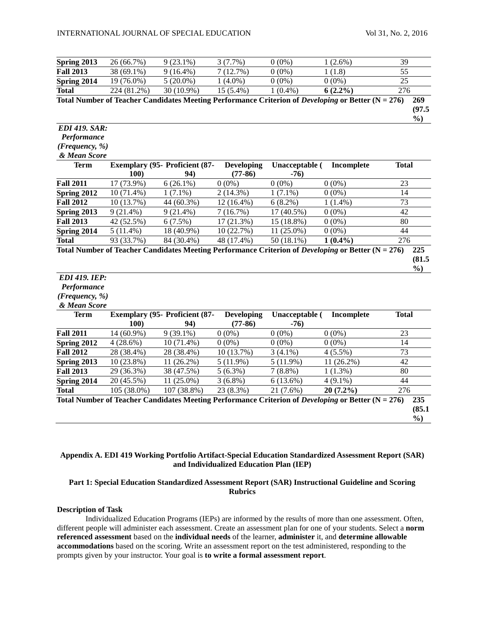| Spring 2013                 | 26 (66.7%)              | $9(23.1\%)$                                                                                                 | 3(7.7%)                        | $0(0\%)$                 | $1(2.6\%)$  | 39              |                                |
|-----------------------------|-------------------------|-------------------------------------------------------------------------------------------------------------|--------------------------------|--------------------------|-------------|-----------------|--------------------------------|
| <b>Fall 2013</b>            | 38 (69.1%)              | $9(16.4\%)$                                                                                                 | 7(12.7%)                       | $0(0\%)$                 | 1(1.8)      | 55              |                                |
| Spring 2014                 | $\overline{19}$ (76.0%) | $5(20.0\%)$                                                                                                 | $1(4.0\%)$                     | $0(0\%)$                 | $0(0\%)$    | 25              |                                |
| <b>Total</b>                | 224 (81.2%)             | 30 (10.9%)                                                                                                  | 15 (5.4%)                      | $1(0.4\%)$               | $6(2.2\%)$  | 276             |                                |
|                             |                         | Total Number of Teacher Candidates Meeting Performance Criterion of Developing or Better (N = 276)          |                                |                          |             |                 | 269<br>(97.5)<br>$\frac{0}{0}$ |
| <b>EDI 419. SAR:</b>        |                         |                                                                                                             |                                |                          |             |                 |                                |
| Performance                 |                         |                                                                                                             |                                |                          |             |                 |                                |
| (Frequency, %)              |                         |                                                                                                             |                                |                          |             |                 |                                |
| & Mean Score                |                         |                                                                                                             |                                |                          |             |                 |                                |
| <b>Term</b>                 | <b>100)</b>             | Exemplary (95- Proficient (87-<br>94)                                                                       | <b>Developing</b><br>$(77-86)$ | Unacceptable (<br>$-76)$ | Incomplete  | <b>Total</b>    |                                |
| <b>Fall 2011</b>            | 17 (73.9%)              | $6(26.1\%)$                                                                                                 | $0(0\%)$                       | $0(0\%)$                 | $0(0\%)$    | 23              |                                |
| Spring 2012                 | 10 (71.4%)              | $1(7.1\%)$                                                                                                  | $2(14.3\%)$                    | $1(7.1\%)$               | $0(0\%)$    | 14              |                                |
| <b>Fall 2012</b>            | 10 (13.7%)              | 44 (60.3%)                                                                                                  | 12 (16.4%)                     | 6(8.2%)                  | $1(1.4\%)$  | 73              |                                |
| Spring 2013                 | $9(21.4\%)$             | $9(21.4\%)$                                                                                                 | 7(16.7%)                       | 17 (40.5%)               | $0(0\%)$    | $\overline{42}$ |                                |
| <b>Fall 2013</b>            | 42 (52.5%)              | 6(7.5%)                                                                                                     | 17(21.3%)                      | 15 (18.8%)               | $0(0\%)$    | $\overline{80}$ |                                |
| Spring 2014                 | $5(11.4\%)$             | 18 (40.9%)                                                                                                  | 10 (22.7%)                     | $11(25.0\%)$             | $0(0\%)$    | 44              |                                |
| <b>Total</b>                | 93 (33.7%)              | $84(30.4\%)$                                                                                                | 48 (17.4%)                     | $50(18.1\%)$             | $1(0.4\%)$  | 276             |                                |
|                             |                         | Total Number of Teacher Candidates Meeting Performance Criterion of <i>Developing</i> or Better $(N = 276)$ |                                |                          |             |                 | 225<br>(81.5)                  |
| $EDI$ 419. $IEP:$           |                         |                                                                                                             |                                |                          |             |                 | $\frac{0}{0}$                  |
| Performance                 |                         |                                                                                                             |                                |                          |             |                 |                                |
| (Frequency, %)              |                         |                                                                                                             |                                |                          |             |                 |                                |
| & Mean Score<br><b>Term</b> | 100)                    | Exemplary (95- Proficient (87-<br>94)                                                                       | <b>Developing</b><br>$(77-86)$ | Unacceptable (<br>$-76)$ | Incomplete  | <b>Total</b>    |                                |
| <b>Fall 2011</b>            | $14(60.9\%)$            | $9(39.1\%)$                                                                                                 | $0(0\%)$                       | $0(0\%)$                 | $0(0\%)$    | 23              |                                |
| Spring 2012                 | 4(28.6%)                | 10 (71.4%)                                                                                                  | $0(0\%)$                       | $0(0\%)$                 | $0(0\%)$    | 14              |                                |
| <b>Fall 2012</b>            | 28 (38.4%)              | 28 (38.4%)                                                                                                  | 10 (13.7%)                     | $3(4.1\%)$               | $4(5.5\%)$  | 73              |                                |
| Spring 2013                 | 10 (23.8%)              | 11 (26.2%)                                                                                                  | $5(11.9\%)$                    | 5(11.9%)                 | 11 (26.2%)  | 42              |                                |
| <b>Fall 2013</b>            | 29 (36.3%)              | 38 (47.5%)                                                                                                  | $5(6.3\%)$                     | $7(8.8\%)$               | $1(1.3\%)$  | 80              |                                |
| Spring 2014                 | 20 (45.5%)              | $11(25.0\%)$                                                                                                | $3(6.8\%)$                     | 6(13.6%)                 | $4(9.1\%)$  | 44              |                                |
| <b>Total</b>                | 105 (38.0%)             | 107 (38.8%)                                                                                                 | 23 (8.3%)                      | 21 (7.6%)                | $20(7.2\%)$ | 276             |                                |
|                             |                         | Total Number of Teacher Candidates Meeting Performance Criterion of Developing or Better (N = 276)          |                                |                          |             |                 | 235<br>(85.1)<br>$\frac{0}{0}$ |

# **Appendix A. EDI 419 Working Portfolio Artifact-Special Education Standardized Assessment Report (SAR) and Individualized Education Plan (IEP)**

# **Part 1: Special Education Standardized Assessment Report (SAR) Instructional Guideline and Scoring Rubrics**

# **Description of Task**

Individualized Education Programs (IEPs) are informed by the results of more than one assessment. Often, different people will administer each assessment. Create an assessment plan for one of your students. Select a **norm referenced assessment** based on the **individual needs** of the learner, **administer** it, and **determine allowable accommodations** based on the scoring. Write an assessment report on the test administered, responding to the prompts given by your instructor. Your goal is **to write a formal assessment report**.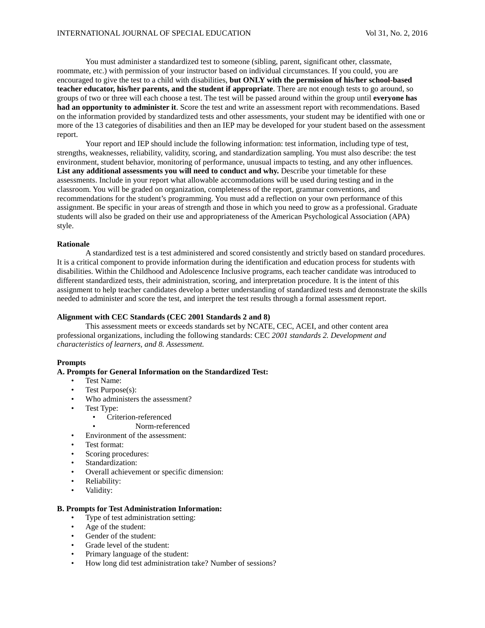You must administer a standardized test to someone (sibling, parent, significant other, classmate, roommate, etc.) with permission of your instructor based on individual circumstances. If you could, you are encouraged to give the test to a child with disabilities, **but ONLY with the permission of his/her school-based teacher educator, his/her parents, and the student if appropriate**. There are not enough tests to go around, so groups of two or three will each choose a test. The test will be passed around within the group until **everyone has had an opportunity to administer it**. Score the test and write an assessment report with recommendations. Based on the information provided by standardized tests and other assessments, your student may be identified with one or more of the 13 categories of disabilities and then an IEP may be developed for your student based on the assessment report.

Your report and IEP should include the following information: test information, including type of test, strengths, weaknesses, reliability, validity, scoring, and standardization sampling. You must also describe: the test environment, student behavior, monitoring of performance, unusual impacts to testing, and any other influences. List any additional assessments you will need to conduct and why. Describe your timetable for these assessments. Include in your report what allowable accommodations will be used during testing and in the classroom. You will be graded on organization, completeness of the report, grammar conventions, and recommendations for the student's programming. You must add a reflection on your own performance of this assignment. Be specific in your areas of strength and those in which you need to grow as a professional. Graduate students will also be graded on their use and appropriateness of the American Psychological Association (APA) style.

# **Rationale**

A standardized test is a test administered and scored consistently and strictly based on standard procedures. It is a critical component to provide information during the identification and education process for students with disabilities. Within the Childhood and Adolescence Inclusive programs, each teacher candidate was introduced to different standardized tests, their administration, scoring, and interpretation procedure. It is the intent of this assignment to help teacher candidates develop a better understanding of standardized tests and demonstrate the skills needed to administer and score the test, and interpret the test results through a formal assessment report.

# **Alignment with CEC Standards (CEC 2001 Standards 2 and 8)**

This assessment meets or exceeds standards set by NCATE, CEC, ACEI, and other content area professional organizations, including the following standards: CEC *2001 standards 2. Development and characteristics of learners, and 8. Assessment.*

# **Prompts**

# **A. Prompts for General Information on the Standardized Test:**

- Test Name:
- Test Purpose(s):
- Who administers the assessment?
- Test Type:
	- Criterion-referenced
		- Norm-referenced
- Environment of the assessment:
- Test format:
- Scoring procedures:
- Standardization:
- Overall achievement or specific dimension:
- Reliability:
- Validity:

## **B. Prompts for Test Administration Information:**

- Type of test administration setting:
- Age of the student:
- Gender of the student:
- Grade level of the student:
- Primary language of the student:
- How long did test administration take? Number of sessions?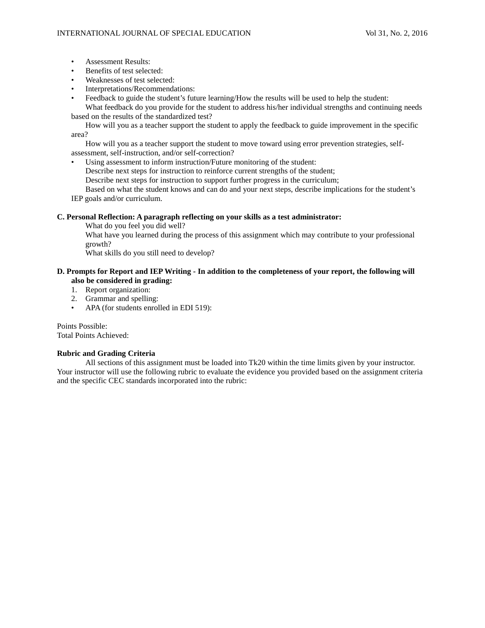- Assessment Results:
- Benefits of test selected:
- Weaknesses of test selected:
- Interpretations/Recommendations:
- Feedback to guide the student's future learning/How the results will be used to help the student:

What feedback do you provide for the student to address his/her individual strengths and continuing needs based on the results of the standardized test?

How will you as a teacher support the student to apply the feedback to guide improvement in the specific area?

How will you as a teacher support the student to move toward using error prevention strategies, selfassessment, self-instruction, and/or self-correction?

Using assessment to inform instruction/Future monitoring of the student:

Describe next steps for instruction to reinforce current strengths of the student;

Describe next steps for instruction to support further progress in the curriculum;

Based on what the student knows and can do and your next steps, describe implications for the student's IEP goals and/or curriculum.

# **C. Personal Reflection: A paragraph reflecting on your skills as a test administrator:**

What do you feel you did well?

What have you learned during the process of this assignment which may contribute to your professional growth?

What skills do you still need to develop?

# **D. Prompts for Report and IEP Writing - In addition to the completeness of your report, the following will also be considered in grading:**

- 1. Report organization:
- 2. Grammar and spelling:
- APA (for students enrolled in EDI 519):

Points Possible: Total Points Achieved:

# **Rubric and Grading Criteria**

All sections of this assignment must be loaded into Tk20 within the time limits given by your instructor. Your instructor will use the following rubric to evaluate the evidence you provided based on the assignment criteria and the specific CEC standards incorporated into the rubric: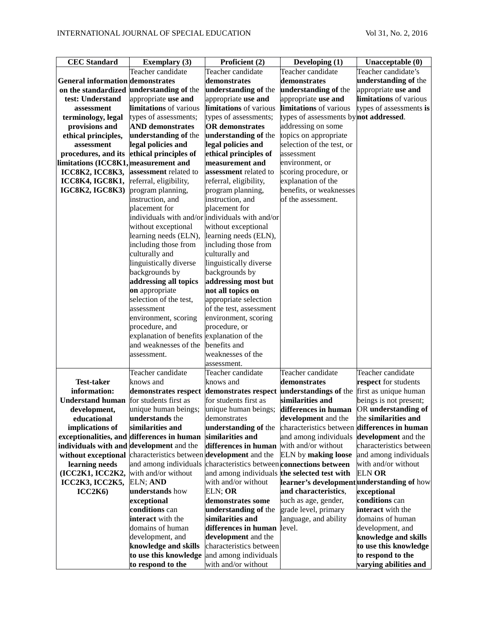| <b>CEC</b> Standard                     | <b>Exemplary</b> (3)                        | Proficient (2)                                  | Developing $(1)$                           | Unacceptable (0)         |
|-----------------------------------------|---------------------------------------------|-------------------------------------------------|--------------------------------------------|--------------------------|
|                                         | Teacher candidate                           | Teacher candidate                               | Teacher candidate                          | Teacher candidate's      |
| <b>General information demonstrates</b> |                                             | demonstrates                                    | demonstrates                               | understanding of the     |
| on the standardized                     | understanding of the                        | understanding of the                            | understanding of the                       | appropriate use and      |
| test: Understand                        | appropriate use and                         | appropriate use and                             | appropriate use and                        | limitations of various   |
| assessment                              | limitations of various                      | limitations of various                          | limitations of various                     | types of assessments is  |
| terminology, legal                      | types of assessments;                       | types of assessments;                           | types of assessments by not addressed.     |                          |
| provisions and                          | <b>AND</b> demonstrates                     | <b>OR</b> demonstrates                          | addressing on some                         |                          |
| ethical principles,                     | understanding of the                        | understanding of the                            | topics on appropriate                      |                          |
| assessment                              | legal policies and                          | legal policies and                              | selection of the test, or                  |                          |
| procedures, and its                     | ethical principles of                       | ethical principles of                           | assessment                                 |                          |
| limitations (ICC8K1, measurement and    |                                             | measurement and                                 | environment, or                            |                          |
| <b>ICC8K2, ICC8K3,</b>                  | assessment related to                       | assessment related to                           | scoring procedure, or                      |                          |
| ICC8K4, IGC8K1,                         | referral, eligibility,                      | referral, eligibility,                          | explanation of the                         |                          |
| <b>IGC8K2, IGC8K3</b> )                 | program planning,                           | program planning,                               | benefits, or weaknesses                    |                          |
|                                         | instruction, and                            | instruction, and                                | of the assessment.                         |                          |
|                                         | placement for                               | placement for                                   |                                            |                          |
|                                         |                                             | individuals with and/or individuals with and/or |                                            |                          |
|                                         | without exceptional                         | without exceptional                             |                                            |                          |
|                                         | learning needs (ELN),                       | learning needs (ELN),                           |                                            |                          |
|                                         | including those from                        | including those from                            |                                            |                          |
|                                         | culturally and                              | culturally and                                  |                                            |                          |
|                                         | linguistically diverse                      | linguistically diverse                          |                                            |                          |
|                                         | backgrounds by                              | backgrounds by                                  |                                            |                          |
|                                         | addressing all topics                       | addressing most but                             |                                            |                          |
|                                         | on appropriate                              | not all topics on                               |                                            |                          |
|                                         | selection of the test,                      | appropriate selection                           |                                            |                          |
|                                         | assessment                                  | of the test, assessment                         |                                            |                          |
|                                         | environment, scoring                        | environment, scoring                            |                                            |                          |
|                                         | procedure, and                              | procedure, or                                   |                                            |                          |
|                                         | explanation of benefits explanation of the  |                                                 |                                            |                          |
|                                         | and weaknesses of the                       | benefits and                                    |                                            |                          |
|                                         | assessment.                                 | weaknesses of the                               |                                            |                          |
|                                         | Teacher candidate                           | assessment.<br>Teacher candidate                | Teacher candidate                          | Teacher candidate        |
| <b>Test-taker</b>                       | knows and                                   | knows and                                       | demonstrates                               | respect for students     |
| information:                            | demonstrates respect                        | demonstrates respect                            | understandings of the                      | first as unique human    |
| <b>Understand human</b>                 | for students first as                       | for students first as                           | similarities and                           | beings is not present;   |
| development,                            | unique human beings;                        | unique human beings;                            | ldifferences in human                      | OR understanding of      |
| educational                             | understands the                             | demonstrates                                    | development and the                        | the similarities and     |
| implications of                         | similarities and                            | understanding of the                            | characteristics between                    | differences in human     |
| exceptionalities, and                   | differences in human                        | similarities and                                | and among individuals                      | development and the      |
| individuals with and                    | development and the                         | differences in human                            | with and/or without                        | characteristics between  |
| without exceptional                     | characteristics between development and the |                                                 | <b>ELN</b> by making loose                 | and among individuals    |
| learning needs                          | and among individuals                       | characteristics between connections between     |                                            | with and/or without      |
| (ICC2K1, ICC2K2,                        | with and/or without                         | and among individuals the selected test with    |                                            | ELN OR                   |
| ICC2K3, ICC2K5,                         | ELN; AND                                    | with and/or without                             | learner's development understanding of how |                          |
| ICC2K6                                  | understands how                             | ELN; OR                                         | and characteristics,                       | exceptional              |
|                                         | exceptional                                 | demonstrates some                               | such as age, gender,                       | conditions can           |
|                                         | conditions can                              | understanding of the                            | grade level, primary                       | <b>interact</b> with the |
|                                         | <b>interact</b> with the                    | similarities and                                | language, and ability                      | domains of human         |
|                                         | domains of human                            | differences in human                            | level.                                     | development, and         |
|                                         | development, and                            | development and the                             |                                            | knowledge and skills     |
|                                         | knowledge and skills                        | characteristics between                         |                                            | to use this knowledge    |
|                                         | to use this knowledge                       | and among individuals                           |                                            | to respond to the        |
|                                         | to respond to the                           | with and/or without                             |                                            | varying abilities and    |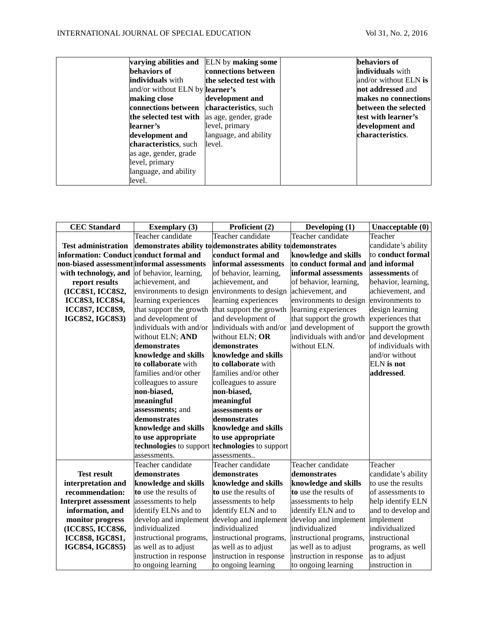| varying abilities and                  | ELN by making some     | behaviors of            |
|----------------------------------------|------------------------|-------------------------|
| behaviors of                           | connections between    | individuals with        |
| <b>individuals</b> with                | the selected test with | and/or without $ELN$ is |
| and/or without ELN by <b>learner's</b> |                        | not addressed and       |
| making close                           | development and        | makes no connections    |
| connections between                    | characteristics, such  | between the selected    |
| the selected test with                 | as age, gender, grade  | test with learner's     |
| learner's                              | level, primary         | development and         |
| development and                        | language, and ability  | characteristics.        |
| characteristics, such                  | level.                 |                         |
| as age, gender, grade                  |                        |                         |
| level, primary                         |                        |                         |
| language, and ability                  |                        |                         |
| level.                                 |                        |                         |

| <b>CEC</b> Standard                        | <b>Exemplary (3)</b>                            | Proficient (2)                                               | Developing $(1)$        | Unacceptable (0)    |
|--------------------------------------------|-------------------------------------------------|--------------------------------------------------------------|-------------------------|---------------------|
|                                            | Teacher candidate                               | Teacher candidate                                            | Teacher candidate       | Teacher             |
| <b>Test administration</b>                 |                                                 | demonstrates ability to demonstrates ability to demonstrates |                         | candidate's ability |
| information: Conduct conduct formal and    |                                                 | conduct formal and                                           | knowledge and skills    | to conduct formal   |
| non-biased assessment informal assessments |                                                 | informal assessments                                         | to conduct formal and   | and informal        |
| with technology, and                       | of behavior, learning,                          | of behavior, learning,                                       | informal assessments    | assessments of      |
| report results                             | achievement, and                                | achievement, and                                             | of behavior, learning,  | behavior, learning, |
| (ICC8S1, ICC8S2,                           | environments to design                          | environments to design                                       | achievement, and        | achievement, and    |
| <b>ICC8S3, ICC8S4,</b>                     | learning experiences                            | learning experiences                                         | environments to design  | environments to     |
| <b>ICC8S7, ICC8S9,</b>                     | that support the growth                         | that support the growth                                      | learning experiences    | design learning     |
| <b>IGC8S2, IGC8S3)</b>                     | and development of                              | and development of                                           | that support the growth | experiences that    |
|                                            | individuals with and/or                         | individuals with and/or                                      | and development of      | support the growth  |
|                                            | without ELN; AND                                | without ELN; OR                                              | individuals with and/or | and development     |
|                                            | demonstrates                                    | demonstrates                                                 | without ELN.            | of individuals with |
|                                            | knowledge and skills                            | knowledge and skills                                         |                         | and/or without      |
|                                            | to collaborate with                             | to collaborate with                                          |                         | <b>ELN</b> is not   |
|                                            | families and/or other                           | families and/or other                                        |                         | addressed.          |
|                                            | colleagues to assure                            | colleagues to assure                                         |                         |                     |
|                                            | non-biased,                                     | non-biased,                                                  |                         |                     |
|                                            | meaningful                                      | meaningful                                                   |                         |                     |
|                                            | assessments; and                                | assessments or                                               |                         |                     |
|                                            | demonstrates                                    | demonstrates                                                 |                         |                     |
|                                            | knowledge and skills                            | knowledge and skills                                         |                         |                     |
|                                            | to use appropriate                              | to use appropriate                                           |                         |                     |
|                                            | technologies to support technologies to support |                                                              |                         |                     |
|                                            | assessments.                                    | assessments                                                  |                         |                     |
|                                            | Teacher candidate                               | Teacher candidate                                            | Teacher candidate       | Teacher             |
| <b>Test result</b>                         | demonstrates                                    | demonstrates                                                 | demonstrates            | candidate's ability |
| interpretation and                         | knowledge and skills                            | knowledge and skills                                         | knowledge and skills    | to use the results  |
| recommendation:                            | to use the results of                           | to use the results of                                        | to use the results of   | of assessments to   |
| <b>Interpret assessment</b>                | assessments to help                             | assessments to help                                          | assessments to help     | help identify ELN   |
| information, and                           | identify ELNs and to                            | identify ELN and to                                          | identify ELN and to     | and to develop and  |
| monitor progress                           | develop and implement                           | develop and implement                                        | develop and implement   | implement           |
| (ICC8S5, ICC8S6,                           | individualized                                  | individualized                                               | individualized          | individualized      |
| <b>ICC8S8, IGC8S1,</b>                     | instructional programs,                         | instructional programs,                                      | instructional programs, | instructional       |
| <b>IGC8S4, IGC8S5)</b>                     | as well as to adjust                            | as well as to adjust                                         | as well as to adjust    | programs, as well   |
|                                            | instruction in response                         | instruction in response                                      | instruction in response | as to adjust        |
|                                            | to ongoing learning                             | to ongoing learning                                          | to ongoing learning     | instruction in      |